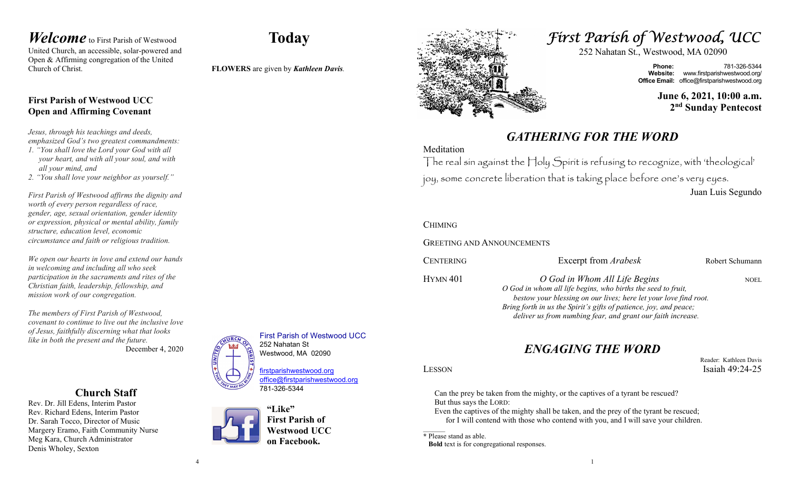### Welcome to First Parish of Westwood United Church, an accessible, solar-powered and Open & Affirming congregation of the United Church of Christ.

## Today

First Parish of Westwood UCC

252 Nahatan St Westwood, MA 02090

781-326-5344

"Like"

firstparishwestwood.org office@firstparishwestwood.org

First Parish of Westwood UCC on Facebook.

FLOWERS are given by Kathleen Davis.

## First Parish of Westwood UCC Open and Affirming Covenant

Jesus, through his teachings and deeds, emphasized God's two greatest commandments:

- 1. "You shall love the Lord your God with all your heart, and with all your soul, and with all your mind, and
- 2. "You shall love your neighbor as yourself."

First Parish of Westwood affirms the dignity and worth of every person regardless of race, gender, age, sexual orientation, gender identity or expression, physical or mental ability, family structure, education level, economic circumstance and faith or religious tradition.

We open our hearts in love and extend our hands in welcoming and including all who seek participation in the sacraments and rites of the Christian faith, leadership, fellowship, and mission work of our congregation.

The members of First Parish of Westwood, covenant to continue to live out the inclusive love of Jesus, faithfully discerning what that looks like in both the present and the future. December 4, 2020

## Church Staff

Rev. Dr. Jill Edens, Interim Pastor Rev. Richard Edens, Interim Pastor Dr. Sarah Tocco, Director of Music Margery Eramo, Faith Community Nurse Meg Kara, Church Administrator Denis Wholey, Sexton



# First Parish of Westwood, UCC

252 Nahatan St., Westwood, MA 02090

Phone: 781-326-5344 Website: www.firstparishwestwood.org/ **Office Email:** office@firstparishwestwood.org

> June 6, 2021, 10:00 a.m. 2<sup>nd</sup> Sunday Pentecost

## GATHERING FOR THE WORD

### Meditation

The real sin against the Holy Spirit is refusing to recognize, with 'theological' joy, some concrete liberation that is taking place before one's very eyes. Juan Luis Segundo

CHIMING

GREETING AND ANNOUNCEMENTS

| CENTERING       | Excerpt from <i>Arabesk</i>                                                                                                           | Robert Schumann |
|-----------------|---------------------------------------------------------------------------------------------------------------------------------------|-----------------|
| <b>HYMN 401</b> | O God in Whom All Life Begins                                                                                                         | <b>NOEL</b>     |
|                 | O God in whom all life begins, who births the seed to fruit,                                                                          |                 |
|                 | bestow your blessing on our lives; here let your love find root.<br>Bring forth in us the Spirit's gifts of patience, joy, and peace; |                 |
|                 | deliver us from numbing fear, and grant our faith increase.                                                                           |                 |

## ENGAGING THE WORD

Reader: Kathleen Davis

Can the prey be taken from the mighty, or the captives of a tyrant be rescued? But thus says the LORD:

Even the captives of the mighty shall be taken, and the prey of the tyrant be rescued; for I will contend with those who contend with you, and I will save your children.

\* Please stand as able.

Bold text is for congregational responses.

LESSON Isaiah 49:24-25

1